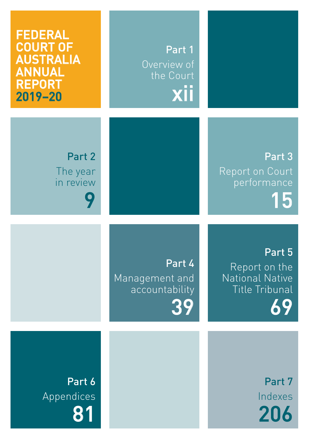